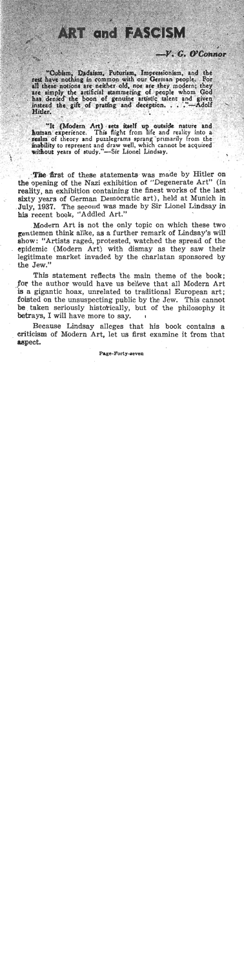## **ART and FASCISM**

## $-V$ ,  $C$ ,  $O'C$  cannot

"Cubism, Dadaism, Futurism, Impressionism, and the rest have nothing in common with our German people. For all these notions are neither old, nor are they modern; they are simply the artificial stammering of people whom God has denied the boon of genuine artistic talent and given instead the gift of prating and deception. . . . "--- Adolf Hitler.

human experience. This flight from life and reality into a realm of theory and puzzlegrams sprang primarily from the inability to represent and draw well, which cannot be acquired without years of study."-Sir Lionel Lindsay.

**L I** 

The first of these statements was made by Hitler on the' opening of the Nazi exhibition of "Degenerate Art" (in reality, an exhibition containing the finest works of the last sixty years of German Democratic art), held at Munich in .July, 1937. The second was made by Sir Lionel Lindsay in **his** recent book, "Addled Art."

Modern Art is not the only topic on which these two gentIemen think alike, as a further remark of Lindsay's will show: "Artists raged, protested, watched the spread of the . epidemic (Modern Art) with dismay as they saw their legitimate market invaded by the charlatan sponsored by the Jew."

This statement reflects the main theme of the book; for the author would have us believe that all Modern Art is a gigantic hoax, unrelated to traditional European art; foisted on the unsuspecting public by the Jew. This cannot be taken seriously historically, but of the philosophy it betrays, I wiIl have more to say. **<sup>I</sup>**

Because Lindsay alleges that his book contains a criticism of Modern Art, Iet us first examine it from that aspect.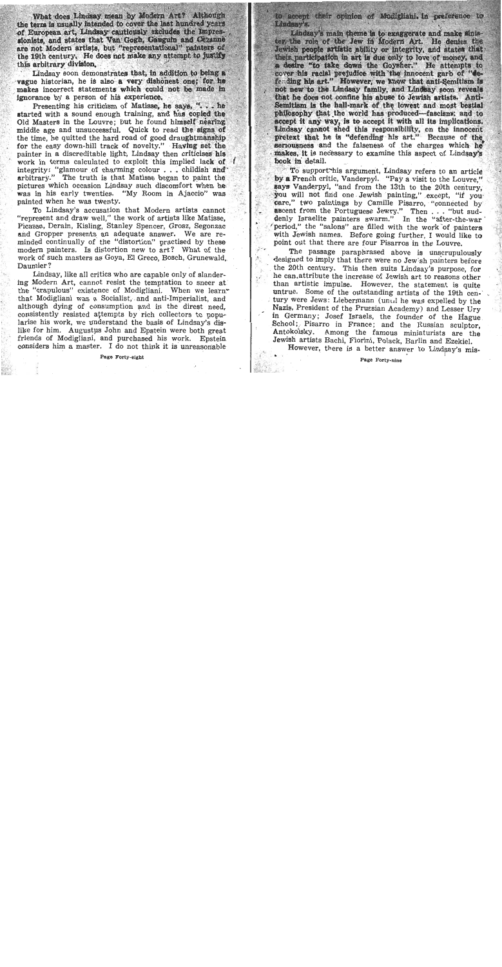What does Lindsay mean by Modern Art? Although the term is usually intended to cover the last hundred years of European art. Lindsay cautiously excludes the Impressionists, and states that Van Gogh, Gauguin and Cezanne are not Modern artists, but "representational" painters of the 19th century. He does not make any attempt to justify this arbitrary division.

Lindsay soon demonstrates that, in addition to being a vague historian, he is also a very dishonest one; for he makes incorrect statements which could not be made in ignorance by a person of his experience.

Presenting his criticism of Matisse, he says, "... he started with a sound enough training, and has copied the Old Masters in the Louvre; but he found himself nearing middle age and unsuccessful. Quick to read the signs of the time, he quitted the hard road of good draughtmanship for the easy down-hill track of novelty." Having set the painter in a discreditable light. Lindsay then criticises his work in terms calculated to exploit this implied lack of integrity: "glamour of charming colour...childish and arbitrary." The truth is that Matisse began to paint the pictures which occasion Lindsay such discomfort when he was in his early twenties. "My Room in Ajaccio" was painted when he was twenty.

To Lindsay's accusation that Modern artists cannot "represent and draw well." the work of artists like Matisse. Picasso, Derain, Kisling, Stanley Spencer, Grosz, Segonzac and Gropper presents an adequate answer. We are reminded continually of the "distortion" practised by these modern painters. Is distortion new to art? What of the work of such masters as Goya, El Greco, Bosch, Grunewald, Daumier?

Lindsay, like all critics who are capable only of slandering Modern Art, cannot resist the temptation to sneer at the "crapulous" existence of Modigliani. When we learn that Modigliani was a Socialist, and anti-Imperialist, and although dying of consumption and in the direst need. consistently resisted attempts by rich collectors to popularise his work, we understand the basis of Lindsay's dislike for him. Augustus John and Epstein were both great friends of Modigliani, and purchased his work. Epstein considers him a master. I do not think it is unreasonable

to accept their opinion of Modiglishi, in preference to Lindsay's.

Lindsay's main theme is to exaggerate and make sinister the role of the Jew in Modern Art. He denies the Jewish people artistic ability or integrity, and states that their participation in art is due only to love of money, and a desire "to take down the Goysher." He attempts to cover his racial prejudice with the innocent garb of "defending his art." However, we know that anti-Semitism is not new to the Lindsay family, and Lindsay soon reveals that he does not confine his abuse to Jewish artists. Anti-Semitism is the hall-mark of the lowest and most bestial philosophy that the world has produced-fascism; and to accept it any way, is to accept it with all its implications. Lindsay cannot shed this responsibility, on the innocent pretext that he is "defending his art." Because of the seriousness and the falseness of the charges which he makes. It is necessary to examine this aspect of Lindsay's book in detail.

To support his argument. Lindsay refers to an article by a French critic, Vanderpyl. "Pay a visit to the Louvre." says Vanderpyl, "and from the 13th to the 20th century. you will not find one Jewish painting," except. "if you care." two paintings by Camille Pisarro, "connected by ascent from the Portuguese Jewry." Then ... "but suddenly Israelite painters swarm." In the "after-the-war" period," the "salons" are filled with the work of painters with Jewish names. Before going further, I would like to point out that there are four Pisarros in the Louvre.

The passage paraphrased above is unscrupulously designed to imply that there were no Jew sh painters before the 20th century. This then suits Lindsay's purpose, for he can attribute the increase of Jewish art to reasons other than artistic impulse. However, the statement is quite untrue. Some of the outstanding artists of the 19th century were Jews: Liebermann (unul he was expelled by the Nazis, President of the Prussian Academy) and Lesser Urv in Germany; Josef Israels, the founder of the Hague School; Pisarro in France; and the Russian sculptor. Antokolsky. Among the famous miniaturists are the Jewish artists Bachi. Fiorini. Polack. Barlin and Ezekiel.

However, there is a better answer to Lindsay's mis-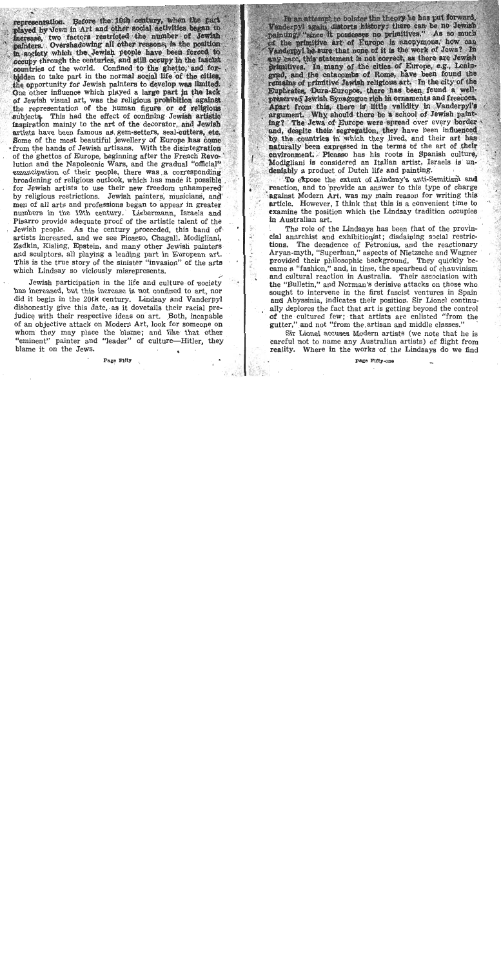representation. Before the 19th century, when the part played by Jews in Art and other social activities began to increase, two factors restricted the number of Jewish nainters. Overshadowing all other reasons, is the position in society which the Jewish people have been forced to occupy through the centuries, and still occupy in the fascist countries of the world. Confined to the ghetto. and forbidden to take part in the normal social life of the cities. the opportunity for Jewish painters to develop was limited. One other influence which played a large part in the lack of Jewish visual art, was the religious prohibition against the representation of the human figure or of religious subjects. This had the effect of confining Jewish artistic inspiration mainly to the art of the decorator, and Jewish artists have been famous as gem-setters, seal-cutters, etc. Some of the most beautiful jewellery of Europe has come \*from the hands of Jewish artisans. With the disintegration of the ghettos of Europe, beginning after the French Revolution and the Napoleonic Wars, and the gradual "official" emancipation of their people, there was a corresponding broadening of religious outlook, which has made it possible for Jewish artists to use their new freedom unhampered by religious restrictions. Jewish painters, musicians, and men of all arts and professions began to appear in greater numbers in the 19th century. Liebermann, Israels and Pisarro provide adequate proof of the artistic talent of the Jewish people. As the century proceeded, this band of artists increased, and we see Picasso, Chagall, Modigliani, Zadkin, Kisling, Epstein, and many other Jewish painters and sculptors, all playing a leading part in European art. This is the true story of the sinister "invasion" of the arts which Lindsay so viciously misrepresents.

Jewish participation in the life and culture of society has increased, but this increase is not confined to art, nor did it begin in the 20th century. Lindsay and Vanderpyl dishonestly give this date, as it dovetails their racial prejudice with their respective ideas on art. Both, incapable of an objective attack on Modern Art, look for someone on whom they may place the blame: and like that other "eminent" painter and "leader" of culture—Hitler, they blame it on the Jews.

In an attempt to bolster the theory he has put forward, Vanderpyl again distorts history: there can be no Jewish painting, "since it possesses no primitives." As so much of the primitive art of Europe is anonymous, how can Vanderpyl be sure that none of it is the work of Jews? In any case, this statement is not correct, as there are Jewish primitives. In many of the cities of Europe, e.g., Leningrad, and the catacombs of Rome, have been found the remains of primitive Jewish religious art. In the city of the Euphrates, Dura-Europos, there has been found a wellpreserved Jewish Synagogue rich in ornaments and frescoes. Apart from this, there is little validity in Vanderpyl's argument. Why should there be a school of Jewish painting? The Jews of Europe were spread over every border and, despite their segregation, they have been influenced by the countries in which they lived, and their art has naturally been expressed in the terms of the art of their environment. Picasso has his roots in Spanish culture. Modigliani is considered an Italian artist, Israels is undeniably a product of Dutch life and painting.

To expose the extent of Lindsay's anti-Semitism and reaction, and to provide an answer to this type of charge against Modern Art, was my main reason for writing this article. However, I think that this is a convenient time to examine the position which the Lindsay tradition occupies in Australian art.

The role of the Lindsays has been that of the provincial anarchist and exhibitionist; disdaining social restrictions. The decadence of Petronius, and the reactionary Aryan-myth, "Superman," aspects of Nietzsche and Wagner provided their philosophic background. They quickly became a "fashion." and, in time, the spearhead of chauvinism and cultural reaction in Australia. Their association with the "Bulletin," and Norman's derisive attacks on those who sought to intervene in the first fascist ventures in Spain and Abyssinia, indicates their position. Sir Lionel continually deplores the fact that art is getting beyond the control of the cultured few; that artists are enlisted "from the gutter," and not "from the artisan and middle classes."

Sir Lionel accuses Modern artists (we note that he is careful not to name any Australian artists) of flight from reality. Where in the works of the Lindsays do we find